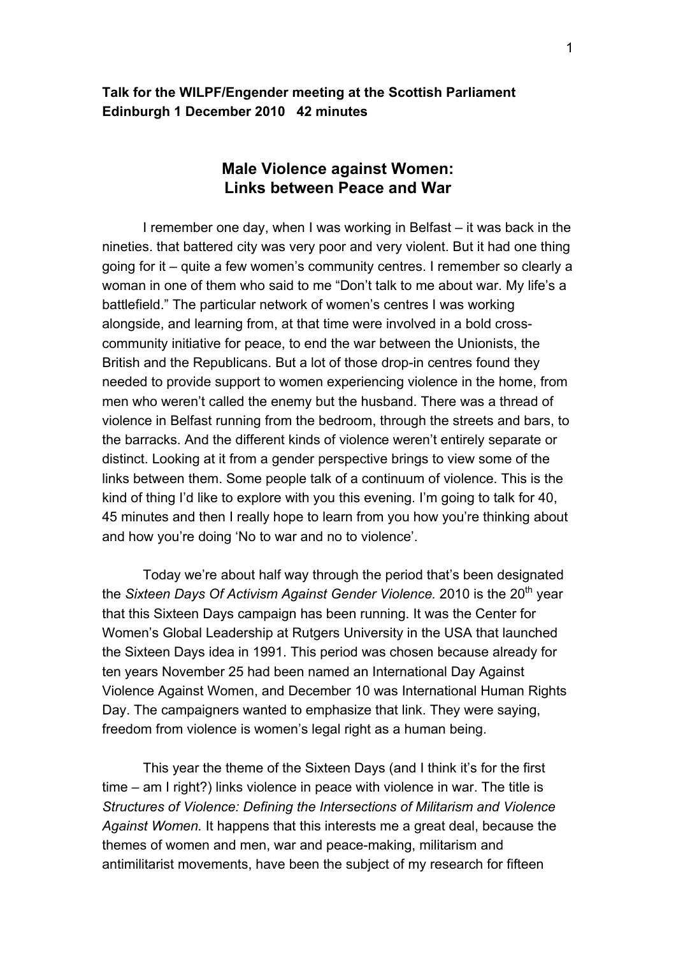## **Talk for the WILPF/Engender meeting at the Scottish Parliament Edinburgh 1 December 2010 42 minutes**

# **Male Violence against Women: Links between Peace and War**

 I remember one day, when I was working in Belfast – it was back in the nineties. that battered city was very poor and very violent. But it had one thing going for it – quite a few women's community centres. I remember so clearly a woman in one of them who said to me "Don't talk to me about war. My life's a battlefield." The particular network of women's centres I was working alongside, and learning from, at that time were involved in a bold crosscommunity initiative for peace, to end the war between the Unionists, the British and the Republicans. But a lot of those drop-in centres found they needed to provide support to women experiencing violence in the home, from men who weren't called the enemy but the husband. There was a thread of violence in Belfast running from the bedroom, through the streets and bars, to the barracks. And the different kinds of violence weren't entirely separate or distinct. Looking at it from a gender perspective brings to view some of the links between them. Some people talk of a continuum of violence. This is the kind of thing I'd like to explore with you this evening. I'm going to talk for 40, 45 minutes and then I really hope to learn from you how you're thinking about and how you're doing 'No to war and no to violence'.

Today we're about half way through the period that's been designated the *Sixteen Days Of Activism Against Gender Violence*. 2010 is the 20<sup>th</sup> year that this Sixteen Days campaign has been running. It was the Center for Women's Global Leadership at Rutgers University in the USA that launched the Sixteen Days idea in 1991. This period was chosen because already for ten years November 25 had been named an International Day Against Violence Against Women, and December 10 was International Human Rights Day. The campaigners wanted to emphasize that link. They were saying, freedom from violence is women's legal right as a human being.

This year the theme of the Sixteen Days (and I think it's for the first time – am I right?) links violence in peace with violence in war. The title is *Structures of Violence: Defining the Intersections of Militarism and Violence Against Women.* It happens that this interests me a great deal, because the themes of women and men, war and peace-making, militarism and antimilitarist movements, have been the subject of my research for fifteen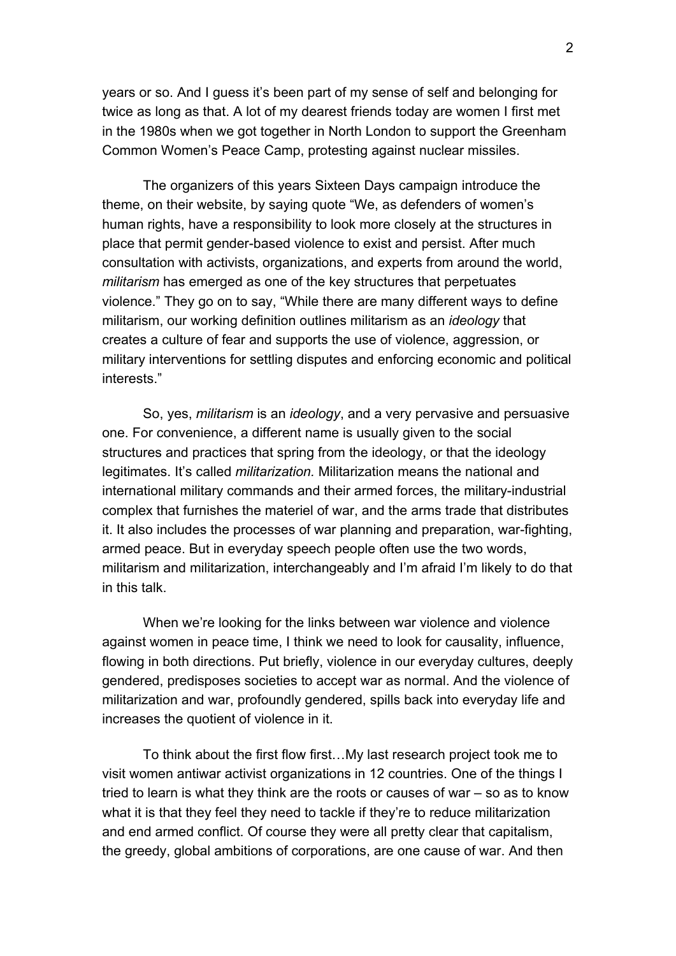years or so. And I guess it's been part of my sense of self and belonging for twice as long as that. A lot of my dearest friends today are women I first met in the 1980s when we got together in North London to support the Greenham Common Women's Peace Camp, protesting against nuclear missiles.

 The organizers of this years Sixteen Days campaign introduce the theme, on their website, by saying quote "We, as defenders of women's human rights, have a responsibility to look more closely at the structures in place that permit gender-based violence to exist and persist. After much consultation with activists, organizations, and experts from around the world, *militarism* has emerged as one of the key structures that perpetuates violence." They go on to say, "While there are many different ways to define militarism, our working definition outlines militarism as an *ideology* that creates a culture of fear and supports the use of violence, aggression, or military interventions for settling disputes and enforcing economic and political interests."

So, yes, *militarism* is an *ideology*, and a very pervasive and persuasive one. For convenience, a different name is usually given to the social structures and practices that spring from the ideology, or that the ideology legitimates. It's called *militarization.* Militarization means the national and international military commands and their armed forces, the military-industrial complex that furnishes the materiel of war, and the arms trade that distributes it. It also includes the processes of war planning and preparation, war-fighting, armed peace. But in everyday speech people often use the two words, militarism and militarization, interchangeably and I'm afraid I'm likely to do that in this talk.

 When we're looking for the links between war violence and violence against women in peace time, I think we need to look for causality, influence, flowing in both directions. Put briefly, violence in our everyday cultures, deeply gendered, predisposes societies to accept war as normal. And the violence of militarization and war, profoundly gendered, spills back into everyday life and increases the quotient of violence in it.

 To think about the first flow first…My last research project took me to visit women antiwar activist organizations in 12 countries. One of the things I tried to learn is what they think are the roots or causes of war – so as to know what it is that they feel they need to tackle if they're to reduce militarization and end armed conflict. Of course they were all pretty clear that capitalism, the greedy, global ambitions of corporations, are one cause of war. And then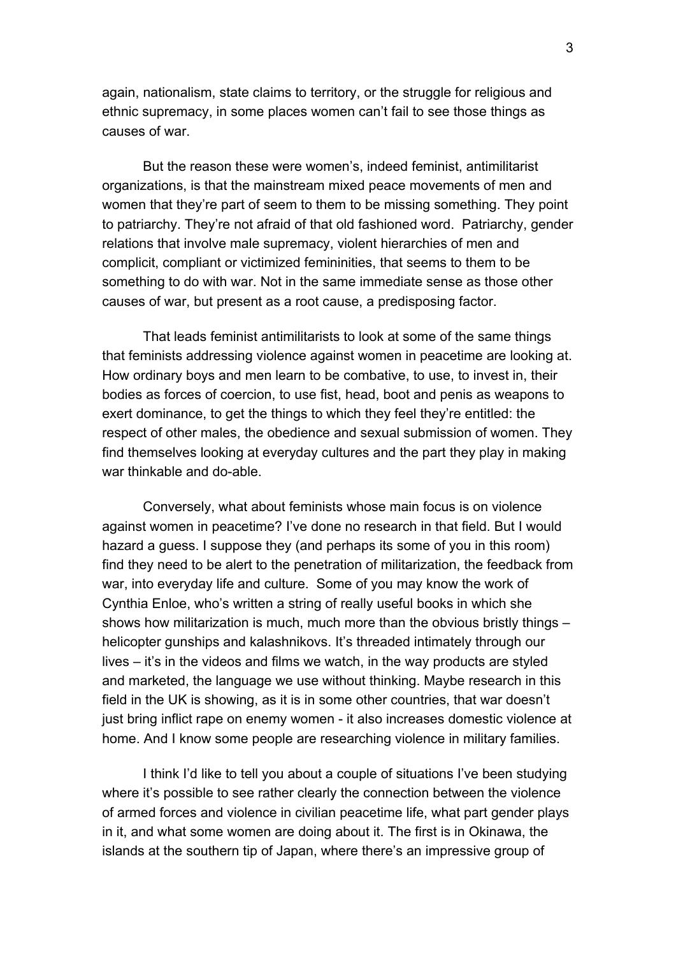again, nationalism, state claims to territory, or the struggle for religious and ethnic supremacy, in some places women can't fail to see those things as causes of war.

But the reason these were women's, indeed feminist, antimilitarist organizations, is that the mainstream mixed peace movements of men and women that they're part of seem to them to be missing something. They point to patriarchy. They're not afraid of that old fashioned word. Patriarchy, gender relations that involve male supremacy, violent hierarchies of men and complicit, compliant or victimized femininities, that seems to them to be something to do with war. Not in the same immediate sense as those other causes of war, but present as a root cause, a predisposing factor.

That leads feminist antimilitarists to look at some of the same things that feminists addressing violence against women in peacetime are looking at. How ordinary boys and men learn to be combative, to use, to invest in, their bodies as forces of coercion, to use fist, head, boot and penis as weapons to exert dominance, to get the things to which they feel they're entitled: the respect of other males, the obedience and sexual submission of women. They find themselves looking at everyday cultures and the part they play in making war thinkable and do-able.

Conversely, what about feminists whose main focus is on violence against women in peacetime? I've done no research in that field. But I would hazard a guess. I suppose they (and perhaps its some of you in this room) find they need to be alert to the penetration of militarization, the feedback from war, into everyday life and culture. Some of you may know the work of Cynthia Enloe, who's written a string of really useful books in which she shows how militarization is much, much more than the obvious bristly things – helicopter gunships and kalashnikovs. It's threaded intimately through our lives – it's in the videos and films we watch, in the way products are styled and marketed, the language we use without thinking. Maybe research in this field in the UK is showing, as it is in some other countries, that war doesn't just bring inflict rape on enemy women - it also increases domestic violence at home. And I know some people are researching violence in military families.

 I think I'd like to tell you about a couple of situations I've been studying where it's possible to see rather clearly the connection between the violence of armed forces and violence in civilian peacetime life, what part gender plays in it, and what some women are doing about it. The first is in Okinawa, the islands at the southern tip of Japan, where there's an impressive group of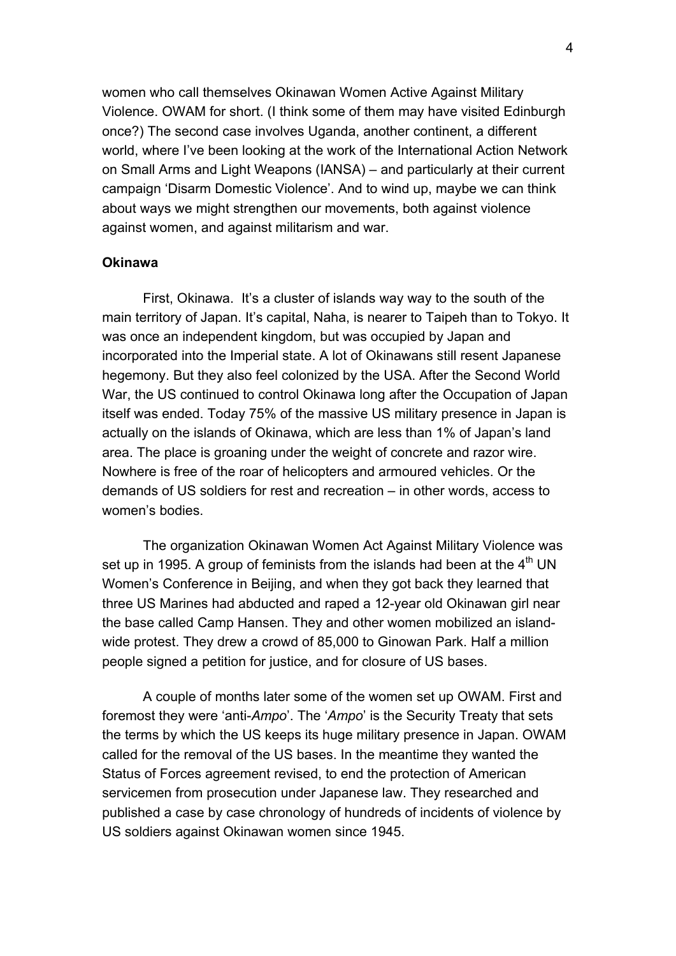women who call themselves Okinawan Women Active Against Military Violence. OWAM for short. (I think some of them may have visited Edinburgh once?) The second case involves Uganda, another continent, a different world, where I've been looking at the work of the International Action Network on Small Arms and Light Weapons (IANSA) – and particularly at their current campaign 'Disarm Domestic Violence'. And to wind up, maybe we can think about ways we might strengthen our movements, both against violence against women, and against militarism and war.

#### **Okinawa**

 First, Okinawa. It's a cluster of islands way way to the south of the main territory of Japan. It's capital, Naha, is nearer to Taipeh than to Tokyo. It was once an independent kingdom, but was occupied by Japan and incorporated into the Imperial state. A lot of Okinawans still resent Japanese hegemony. But they also feel colonized by the USA. After the Second World War, the US continued to control Okinawa long after the Occupation of Japan itself was ended. Today 75% of the massive US military presence in Japan is actually on the islands of Okinawa, which are less than 1% of Japan's land area. The place is groaning under the weight of concrete and razor wire. Nowhere is free of the roar of helicopters and armoured vehicles. Or the demands of US soldiers for rest and recreation – in other words, access to women's bodies.

 The organization Okinawan Women Act Against Military Violence was set up in 1995. A group of feminists from the islands had been at the  $4<sup>th</sup>$  UN Women's Conference in Beijing, and when they got back they learned that three US Marines had abducted and raped a 12-year old Okinawan girl near the base called Camp Hansen. They and other women mobilized an islandwide protest. They drew a crowd of 85,000 to Ginowan Park. Half a million people signed a petition for justice, and for closure of US bases.

A couple of months later some of the women set up OWAM. First and foremost they were 'anti-*Ampo*'. The '*Ampo*' is the Security Treaty that sets the terms by which the US keeps its huge military presence in Japan. OWAM called for the removal of the US bases. In the meantime they wanted the Status of Forces agreement revised, to end the protection of American servicemen from prosecution under Japanese law. They researched and published a case by case chronology of hundreds of incidents of violence by US soldiers against Okinawan women since 1945.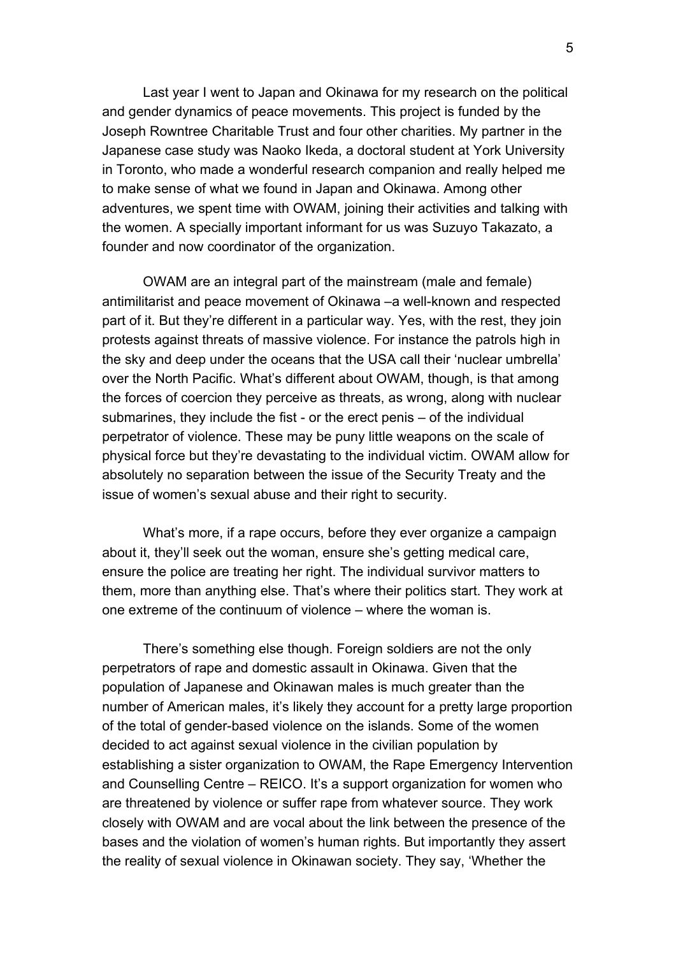Last year I went to Japan and Okinawa for my research on the political and gender dynamics of peace movements. This project is funded by the Joseph Rowntree Charitable Trust and four other charities. My partner in the Japanese case study was Naoko Ikeda, a doctoral student at York University in Toronto, who made a wonderful research companion and really helped me to make sense of what we found in Japan and Okinawa. Among other adventures, we spent time with OWAM, joining their activities and talking with the women. A specially important informant for us was Suzuyo Takazato, a founder and now coordinator of the organization.

OWAM are an integral part of the mainstream (male and female) antimilitarist and peace movement of Okinawa –a well-known and respected part of it. But they're different in a particular way. Yes, with the rest, they join protests against threats of massive violence. For instance the patrols high in the sky and deep under the oceans that the USA call their 'nuclear umbrella' over the North Pacific. What's different about OWAM, though, is that among the forces of coercion they perceive as threats, as wrong, along with nuclear submarines, they include the fist - or the erect penis – of the individual perpetrator of violence. These may be puny little weapons on the scale of physical force but they're devastating to the individual victim. OWAM allow for absolutely no separation between the issue of the Security Treaty and the issue of women's sexual abuse and their right to security.

What's more, if a rape occurs, before they ever organize a campaign about it, they'll seek out the woman, ensure she's getting medical care, ensure the police are treating her right. The individual survivor matters to them, more than anything else. That's where their politics start. They work at one extreme of the continuum of violence – where the woman is.

There's something else though. Foreign soldiers are not the only perpetrators of rape and domestic assault in Okinawa. Given that the population of Japanese and Okinawan males is much greater than the number of American males, it's likely they account for a pretty large proportion of the total of gender-based violence on the islands. Some of the women decided to act against sexual violence in the civilian population by establishing a sister organization to OWAM, the Rape Emergency Intervention and Counselling Centre – REICO. It's a support organization for women who are threatened by violence or suffer rape from whatever source. They work closely with OWAM and are vocal about the link between the presence of the bases and the violation of women's human rights. But importantly they assert the reality of sexual violence in Okinawan society. They say, 'Whether the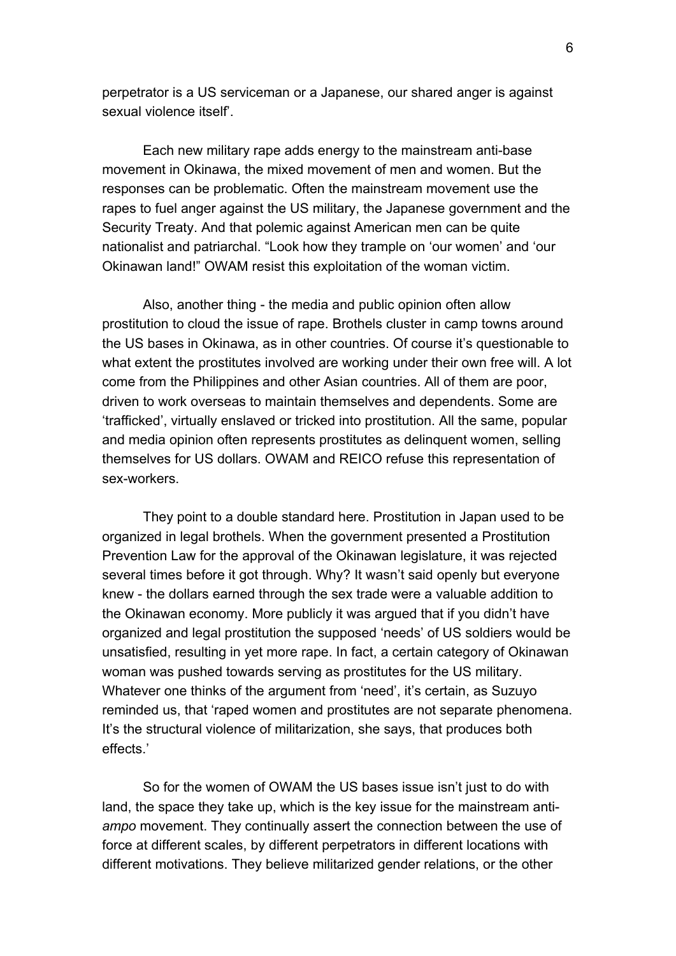perpetrator is a US serviceman or a Japanese, our shared anger is against sexual violence itself

Each new military rape adds energy to the mainstream anti-base movement in Okinawa, the mixed movement of men and women. But the responses can be problematic. Often the mainstream movement use the rapes to fuel anger against the US military, the Japanese government and the Security Treaty. And that polemic against American men can be quite nationalist and patriarchal. "Look how they trample on 'our women' and 'our Okinawan land!" OWAM resist this exploitation of the woman victim.

Also, another thing - the media and public opinion often allow prostitution to cloud the issue of rape. Brothels cluster in camp towns around the US bases in Okinawa, as in other countries. Of course it's questionable to what extent the prostitutes involved are working under their own free will. A lot come from the Philippines and other Asian countries. All of them are poor, driven to work overseas to maintain themselves and dependents. Some are 'trafficked', virtually enslaved or tricked into prostitution. All the same, popular and media opinion often represents prostitutes as delinquent women, selling themselves for US dollars. OWAM and REICO refuse this representation of sex-workers.

They point to a double standard here. Prostitution in Japan used to be organized in legal brothels. When the government presented a Prostitution Prevention Law for the approval of the Okinawan legislature, it was rejected several times before it got through. Why? It wasn't said openly but everyone knew - the dollars earned through the sex trade were a valuable addition to the Okinawan economy. More publicly it was argued that if you didn't have organized and legal prostitution the supposed 'needs' of US soldiers would be unsatisfied, resulting in yet more rape. In fact, a certain category of Okinawan woman was pushed towards serving as prostitutes for the US military. Whatever one thinks of the argument from 'need', it's certain, as Suzuyo reminded us, that 'raped women and prostitutes are not separate phenomena. It's the structural violence of militarization, she says, that produces both effects.'

So for the women of OWAM the US bases issue isn't just to do with land, the space they take up, which is the key issue for the mainstream anti*ampo* movement. They continually assert the connection between the use of force at different scales, by different perpetrators in different locations with different motivations. They believe militarized gender relations, or the other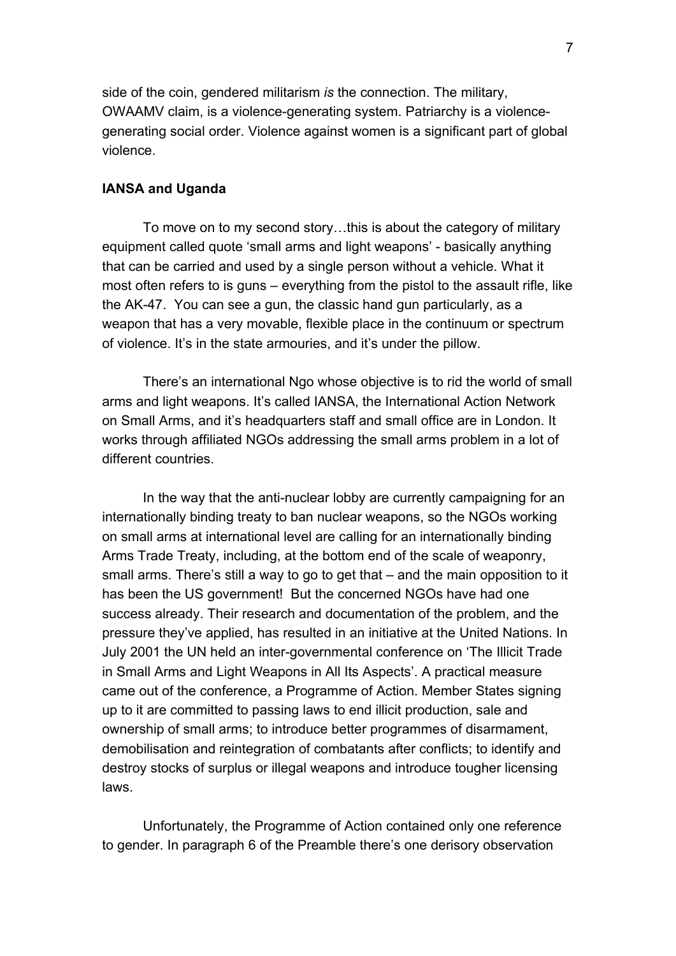side of the coin, gendered militarism *is* the connection. The military, OWAAMV claim, is a violence-generating system. Patriarchy is a violencegenerating social order. Violence against women is a significant part of global violence.

#### **IANSA and Uganda**

To move on to my second story…this is about the category of military equipment called quote 'small arms and light weapons' - basically anything that can be carried and used by a single person without a vehicle. What it most often refers to is guns – everything from the pistol to the assault rifle, like the AK-47. You can see a gun, the classic hand gun particularly, as a weapon that has a very movable, flexible place in the continuum or spectrum of violence. It's in the state armouries, and it's under the pillow.

There's an international Ngo whose objective is to rid the world of small arms and light weapons. It's called IANSA, the International Action Network on Small Arms, and it's headquarters staff and small office are in London. It works through affiliated NGOs addressing the small arms problem in a lot of different countries.

In the way that the anti-nuclear lobby are currently campaigning for an internationally binding treaty to ban nuclear weapons, so the NGOs working on small arms at international level are calling for an internationally binding Arms Trade Treaty, including, at the bottom end of the scale of weaponry, small arms. There's still a way to go to get that – and the main opposition to it has been the US government! But the concerned NGOs have had one success already. Their research and documentation of the problem, and the pressure they've applied, has resulted in an initiative at the United Nations. In July 2001 the UN held an inter-governmental conference on 'The Illicit Trade in Small Arms and Light Weapons in All Its Aspects'. A practical measure came out of the conference, a Programme of Action. Member States signing up to it are committed to passing laws to end illicit production, sale and ownership of small arms; to introduce better programmes of disarmament, demobilisation and reintegration of combatants after conflicts; to identify and destroy stocks of surplus or illegal weapons and introduce tougher licensing laws.

Unfortunately, the Programme of Action contained only one reference to gender. In paragraph 6 of the Preamble there's one derisory observation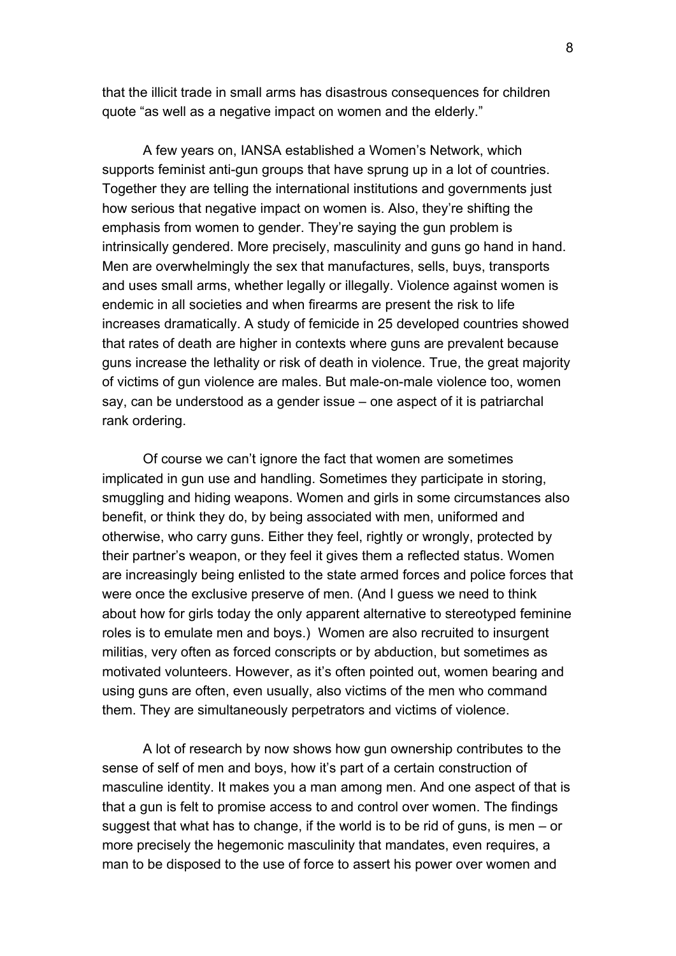that the illicit trade in small arms has disastrous consequences for children quote "as well as a negative impact on women and the elderly."

A few years on, IANSA established a Women's Network, which supports feminist anti-gun groups that have sprung up in a lot of countries. Together they are telling the international institutions and governments just how serious that negative impact on women is. Also, they're shifting the emphasis from women to gender. They're saying the gun problem is intrinsically gendered. More precisely, masculinity and guns go hand in hand. Men are overwhelmingly the sex that manufactures, sells, buys, transports and uses small arms, whether legally or illegally. Violence against women is endemic in all societies and when firearms are present the risk to life increases dramatically. A study of femicide in 25 developed countries showed that rates of death are higher in contexts where guns are prevalent because guns increase the lethality or risk of death in violence. True, the great majority of victims of gun violence are males. But male-on-male violence too, women say, can be understood as a gender issue – one aspect of it is patriarchal rank ordering.

Of course we can't ignore the fact that women are sometimes implicated in gun use and handling. Sometimes they participate in storing, smuggling and hiding weapons. Women and girls in some circumstances also benefit, or think they do, by being associated with men, uniformed and otherwise, who carry guns. Either they feel, rightly or wrongly, protected by their partner's weapon, or they feel it gives them a reflected status. Women are increasingly being enlisted to the state armed forces and police forces that were once the exclusive preserve of men. (And I guess we need to think about how for girls today the only apparent alternative to stereotyped feminine roles is to emulate men and boys.) Women are also recruited to insurgent militias, very often as forced conscripts or by abduction, but sometimes as motivated volunteers. However, as it's often pointed out, women bearing and using guns are often, even usually, also victims of the men who command them. They are simultaneously perpetrators and victims of violence.

A lot of research by now shows how gun ownership contributes to the sense of self of men and boys, how it's part of a certain construction of masculine identity. It makes you a man among men. And one aspect of that is that a gun is felt to promise access to and control over women. The findings suggest that what has to change, if the world is to be rid of guns, is men – or more precisely the hegemonic masculinity that mandates, even requires, a man to be disposed to the use of force to assert his power over women and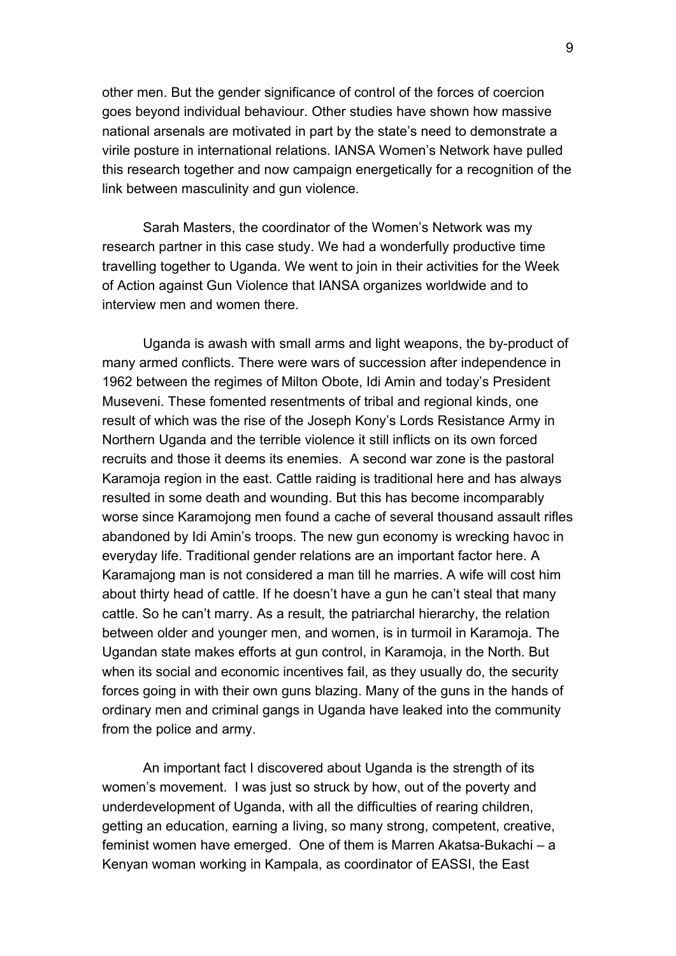other men. But the gender significance of control of the forces of coercion goes beyond individual behaviour. Other studies have shown how massive national arsenals are motivated in part by the state's need to demonstrate a virile posture in international relations. IANSA Women's Network have pulled this research together and now campaign energetically for a recognition of the link between masculinity and gun violence.

Sarah Masters, the coordinator of the Women's Network was my research partner in this case study. We had a wonderfully productive time travelling together to Uganda. We went to join in their activities for the Week of Action against Gun Violence that IANSA organizes worldwide and to interview men and women there.

Uganda is awash with small arms and light weapons, the by-product of many armed conflicts. There were wars of succession after independence in 1962 between the regimes of Milton Obote, Idi Amin and today's President Museveni. These fomented resentments of tribal and regional kinds, one result of which was the rise of the Joseph Kony's Lords Resistance Army in Northern Uganda and the terrible violence it still inflicts on its own forced recruits and those it deems its enemies. A second war zone is the pastoral Karamoja region in the east. Cattle raiding is traditional here and has always resulted in some death and wounding. But this has become incomparably worse since Karamojong men found a cache of several thousand assault rifles abandoned by Idi Amin's troops. The new gun economy is wrecking havoc in everyday life. Traditional gender relations are an important factor here. A Karamajong man is not considered a man till he marries. A wife will cost him about thirty head of cattle. If he doesn't have a gun he can't steal that many cattle. So he can't marry. As a result, the patriarchal hierarchy, the relation between older and younger men, and women, is in turmoil in Karamoja. The Ugandan state makes efforts at gun control, in Karamoja, in the North. But when its social and economic incentives fail, as they usually do, the security forces going in with their own guns blazing. Many of the guns in the hands of ordinary men and criminal gangs in Uganda have leaked into the community from the police and army.

An important fact I discovered about Uganda is the strength of its women's movement. I was just so struck by how, out of the poverty and underdevelopment of Uganda, with all the difficulties of rearing children, getting an education, earning a living, so many strong, competent, creative, feminist women have emerged. One of them is Marren Akatsa-Bukachi – a Kenyan woman working in Kampala, as coordinator of EASSI, the East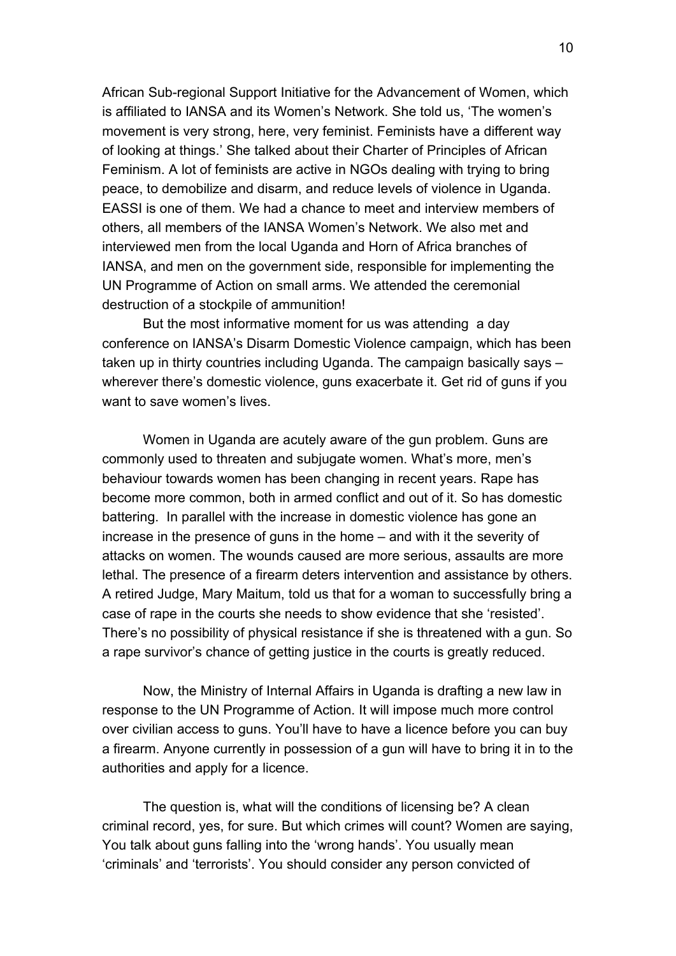African Sub-regional Support Initiative for the Advancement of Women, which is affiliated to IANSA and its Women's Network. She told us, 'The women's movement is very strong, here, very feminist. Feminists have a different way of looking at things.' She talked about their Charter of Principles of African Feminism. A lot of feminists are active in NGOs dealing with trying to bring peace, to demobilize and disarm, and reduce levels of violence in Uganda. EASSI is one of them. We had a chance to meet and interview members of others, all members of the IANSA Women's Network. We also met and interviewed men from the local Uganda and Horn of Africa branches of IANSA, and men on the government side, responsible for implementing the UN Programme of Action on small arms. We attended the ceremonial destruction of a stockpile of ammunition!

But the most informative moment for us was attending a day conference on IANSA's Disarm Domestic Violence campaign, which has been taken up in thirty countries including Uganda. The campaign basically says – wherever there's domestic violence, guns exacerbate it. Get rid of guns if you want to save women's lives.

Women in Uganda are acutely aware of the gun problem. Guns are commonly used to threaten and subjugate women. What's more, men's behaviour towards women has been changing in recent years. Rape has become more common, both in armed conflict and out of it. So has domestic battering. In parallel with the increase in domestic violence has gone an increase in the presence of guns in the home – and with it the severity of attacks on women. The wounds caused are more serious, assaults are more lethal. The presence of a firearm deters intervention and assistance by others. A retired Judge, Mary Maitum, told us that for a woman to successfully bring a case of rape in the courts she needs to show evidence that she 'resisted'. There's no possibility of physical resistance if she is threatened with a gun. So a rape survivor's chance of getting justice in the courts is greatly reduced.

Now, the Ministry of Internal Affairs in Uganda is drafting a new law in response to the UN Programme of Action. It will impose much more control over civilian access to guns. You'll have to have a licence before you can buy a firearm. Anyone currently in possession of a gun will have to bring it in to the authorities and apply for a licence.

The question is, what will the conditions of licensing be? A clean criminal record, yes, for sure. But which crimes will count? Women are saying, You talk about guns falling into the 'wrong hands'. You usually mean 'criminals' and 'terrorists'. You should consider any person convicted of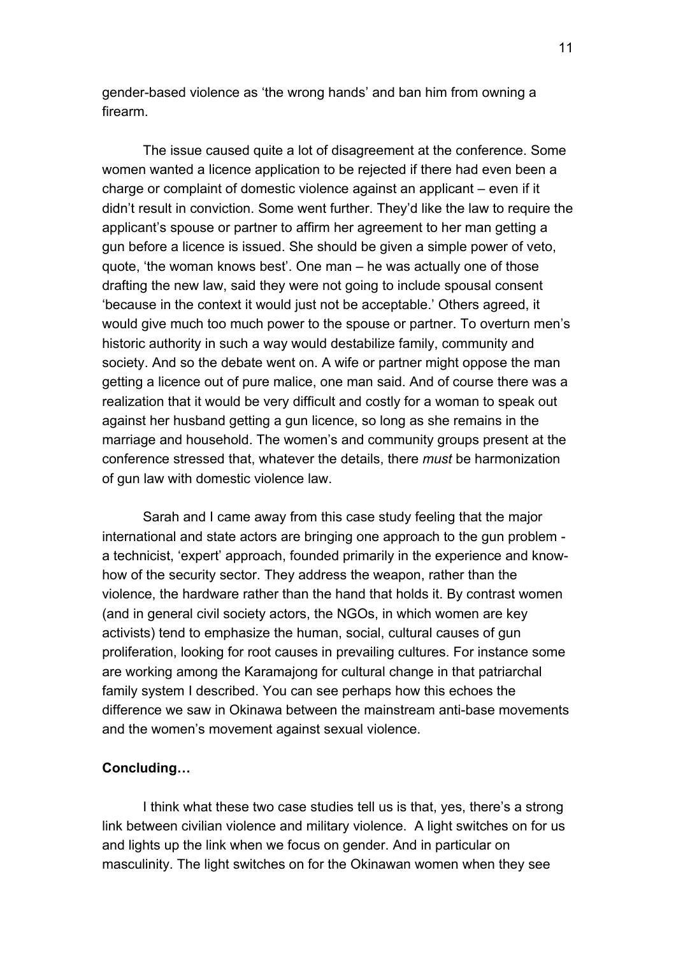gender-based violence as 'the wrong hands' and ban him from owning a firearm.

The issue caused quite a lot of disagreement at the conference. Some women wanted a licence application to be rejected if there had even been a charge or complaint of domestic violence against an applicant – even if it didn't result in conviction. Some went further. They'd like the law to require the applicant's spouse or partner to affirm her agreement to her man getting a gun before a licence is issued. She should be given a simple power of veto, quote, 'the woman knows best'. One man – he was actually one of those drafting the new law, said they were not going to include spousal consent 'because in the context it would just not be acceptable.' Others agreed, it would give much too much power to the spouse or partner. To overturn men's historic authority in such a way would destabilize family, community and society. And so the debate went on. A wife or partner might oppose the man getting a licence out of pure malice, one man said. And of course there was a realization that it would be very difficult and costly for a woman to speak out against her husband getting a gun licence, so long as she remains in the marriage and household. The women's and community groups present at the conference stressed that, whatever the details, there *must* be harmonization of gun law with domestic violence law.

Sarah and I came away from this case study feeling that the major international and state actors are bringing one approach to the gun problem a technicist, 'expert' approach, founded primarily in the experience and knowhow of the security sector. They address the weapon, rather than the violence, the hardware rather than the hand that holds it. By contrast women (and in general civil society actors, the NGOs, in which women are key activists) tend to emphasize the human, social, cultural causes of gun proliferation, looking for root causes in prevailing cultures. For instance some are working among the Karamajong for cultural change in that patriarchal family system I described. You can see perhaps how this echoes the difference we saw in Okinawa between the mainstream anti-base movements and the women's movement against sexual violence.

### **Concluding…**

 I think what these two case studies tell us is that, yes, there's a strong link between civilian violence and military violence. A light switches on for us and lights up the link when we focus on gender. And in particular on masculinity. The light switches on for the Okinawan women when they see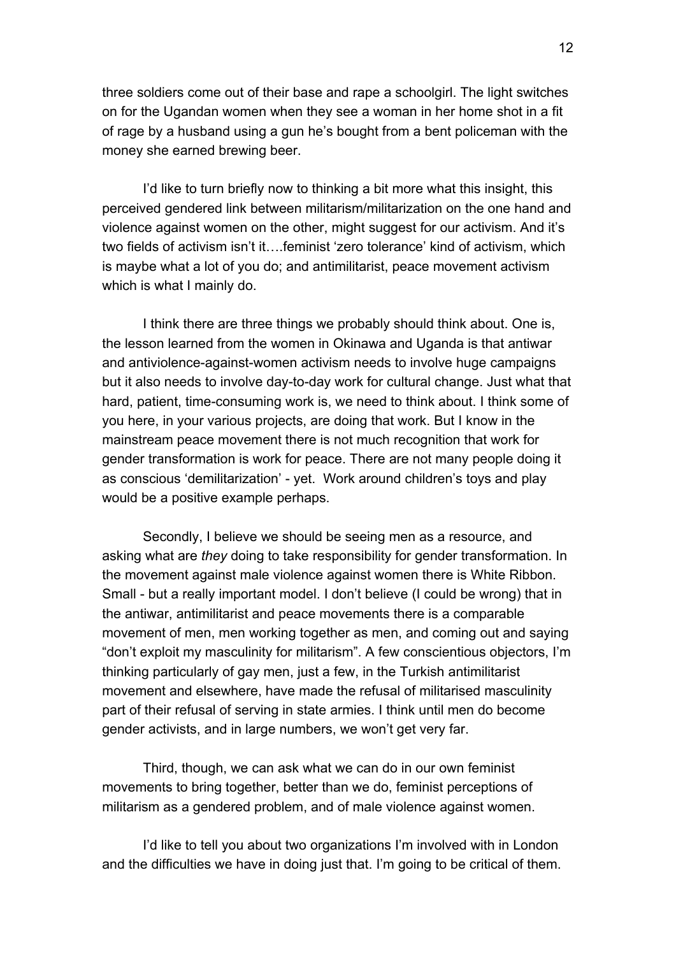three soldiers come out of their base and rape a schoolgirl. The light switches on for the Ugandan women when they see a woman in her home shot in a fit of rage by a husband using a gun he's bought from a bent policeman with the money she earned brewing beer.

 I'd like to turn briefly now to thinking a bit more what this insight, this perceived gendered link between militarism/militarization on the one hand and violence against women on the other, might suggest for our activism. And it's two fields of activism isn't it….feminist 'zero tolerance' kind of activism, which is maybe what a lot of you do; and antimilitarist, peace movement activism which is what I mainly do.

I think there are three things we probably should think about. One is, the lesson learned from the women in Okinawa and Uganda is that antiwar and antiviolence-against-women activism needs to involve huge campaigns but it also needs to involve day-to-day work for cultural change. Just what that hard, patient, time-consuming work is, we need to think about. I think some of you here, in your various projects, are doing that work. But I know in the mainstream peace movement there is not much recognition that work for gender transformation is work for peace. There are not many people doing it as conscious 'demilitarization' - yet. Work around children's toys and play would be a positive example perhaps.

Secondly, I believe we should be seeing men as a resource, and asking what are *they* doing to take responsibility for gender transformation. In the movement against male violence against women there is White Ribbon. Small - but a really important model. I don't believe (I could be wrong) that in the antiwar, antimilitarist and peace movements there is a comparable movement of men, men working together as men, and coming out and saying "don't exploit my masculinity for militarism". A few conscientious objectors, I'm thinking particularly of gay men, just a few, in the Turkish antimilitarist movement and elsewhere, have made the refusal of militarised masculinity part of their refusal of serving in state armies. I think until men do become gender activists, and in large numbers, we won't get very far.

Third, though, we can ask what we can do in our own feminist movements to bring together, better than we do, feminist perceptions of militarism as a gendered problem, and of male violence against women.

I'd like to tell you about two organizations I'm involved with in London and the difficulties we have in doing just that. I'm going to be critical of them.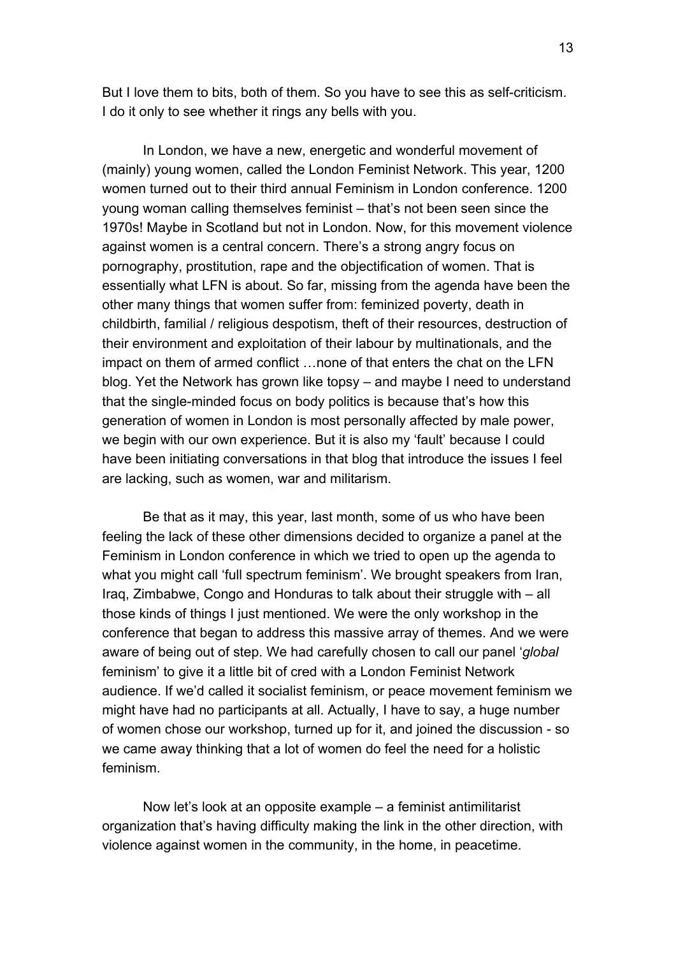But I love them to bits, both of them. So you have to see this as self-criticism. I do it only to see whether it rings any bells with you.

In London, we have a new, energetic and wonderful movement of (mainly) young women, called the London Feminist Network. This year, 1200 women turned out to their third annual Feminism in London conference. 1200 young woman calling themselves feminist – that's not been seen since the 1970s! Maybe in Scotland but not in London. Now, for this movement violence against women is a central concern. There's a strong angry focus on pornography, prostitution, rape and the objectification of women. That is essentially what LFN is about. So far, missing from the agenda have been the other many things that women suffer from: feminized poverty, death in childbirth, familial / religious despotism, theft of their resources, destruction of their environment and exploitation of their labour by multinationals, and the impact on them of armed conflict …none of that enters the chat on the LFN blog. Yet the Network has grown like topsy – and maybe I need to understand that the single-minded focus on body politics is because that's how this generation of women in London is most personally affected by male power, we begin with our own experience. But it is also my 'fault' because I could have been initiating conversations in that blog that introduce the issues I feel are lacking, such as women, war and militarism.

Be that as it may, this year, last month, some of us who have been feeling the lack of these other dimensions decided to organize a panel at the Feminism in London conference in which we tried to open up the agenda to what you might call 'full spectrum feminism'. We brought speakers from Iran, Iraq, Zimbabwe, Congo and Honduras to talk about their struggle with – all those kinds of things I just mentioned. We were the only workshop in the conference that began to address this massive array of themes. And we were aware of being out of step. We had carefully chosen to call our panel '*global*  feminism' to give it a little bit of cred with a London Feminist Network audience. If we'd called it socialist feminism, or peace movement feminism we might have had no participants at all. Actually, I have to say, a huge number of women chose our workshop, turned up for it, and joined the discussion - so we came away thinking that a lot of women do feel the need for a holistic feminism.

Now let's look at an opposite example – a feminist antimilitarist organization that's having difficulty making the link in the other direction, with violence against women in the community, in the home, in peacetime.